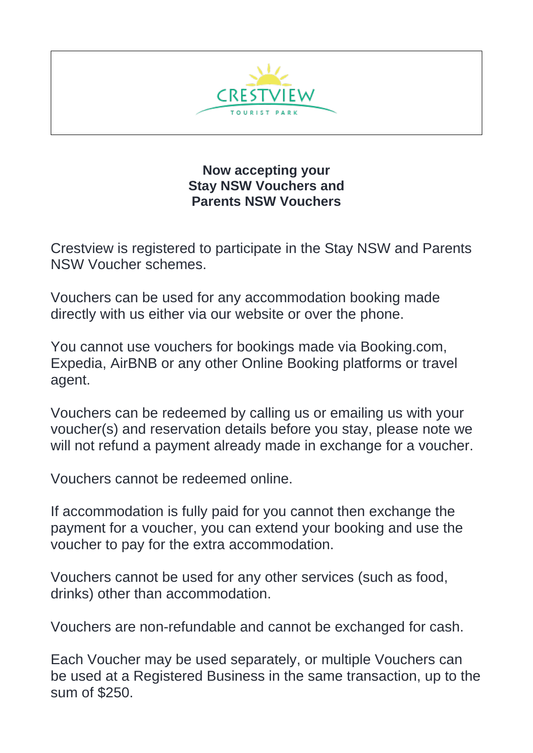

**Now accepting your Stay NSW Vouchers and Parents NSW Vouchers**

Crestview is registered to participate in the Stay NSW and Parents NSW Voucher schemes.

Vouchers can be used for any accommodation booking made directly with us either via our website or over the phone.

You cannot use vouchers for bookings made via Booking.com, Expedia, AirBNB or any other Online Booking platforms or travel agent.

Vouchers can be redeemed by calling us or emailing us with your voucher(s) and reservation details before you stay, please note we will not refund a payment already made in exchange for a voucher.

Vouchers cannot be redeemed online.

If accommodation is fully paid for you cannot then exchange the payment for a voucher, you can extend your booking and use the voucher to pay for the extra accommodation.

Vouchers cannot be used for any other services (such as food, drinks) other than accommodation.

Vouchers are non-refundable and cannot be exchanged for cash.

Each Voucher may be used separately, or multiple Vouchers can be used at a Registered Business in the same transaction, up to the sum of \$250.